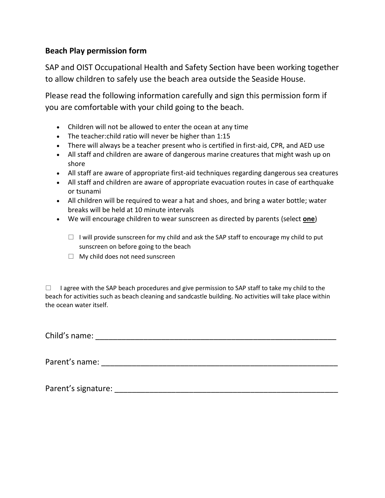## **Beach Play permission form**

SAP and OIST Occupational Health and Safety Section have been working together to allow children to safely use the beach area outside the Seaside House.

Please read the following information carefully and sign this permission form if you are comfortable with your child going to the beach.

- Children will not be allowed to enter the ocean at any time
- The teacher:child ratio will never be higher than 1:15
- There will always be a teacher present who is certified in first-aid, CPR, and AED use
- All staff and children are aware of dangerous marine creatures that might wash up on shore
- All staff are aware of appropriate first-aid techniques regarding dangerous sea creatures
- All staff and children are aware of appropriate evacuation routes in case of earthquake or tsunami
- All children will be required to wear a hat and shoes, and bring a water bottle; water breaks will be held at 10 minute intervals
- We will encourage children to wear sunscreen as directed by parents (select **one**)
	- $\Box$  I will provide sunscreen for my child and ask the SAP staff to encourage my child to put sunscreen on before going to the beach
	- $\Box$  My child does not need sunscreen

 $\Box$  I agree with the SAP beach procedures and give permission to SAP staff to take my child to the beach for activities such as beach cleaning and sandcastle building. No activities will take place within the ocean water itself.

Child's name: \_\_\_\_\_\_\_\_\_\_\_\_\_\_\_\_\_\_\_\_\_\_\_\_\_\_\_\_\_\_\_\_\_\_\_\_\_\_\_\_\_\_\_\_\_\_\_\_\_\_\_\_\_\_\_

Parent's name: \_\_\_\_\_\_\_\_\_\_\_\_\_\_\_\_\_\_\_\_\_\_\_\_\_\_\_\_\_\_\_\_\_\_\_\_\_\_\_\_\_\_\_\_\_\_\_\_\_\_\_\_\_\_

Parent's signature: **Example 2018**